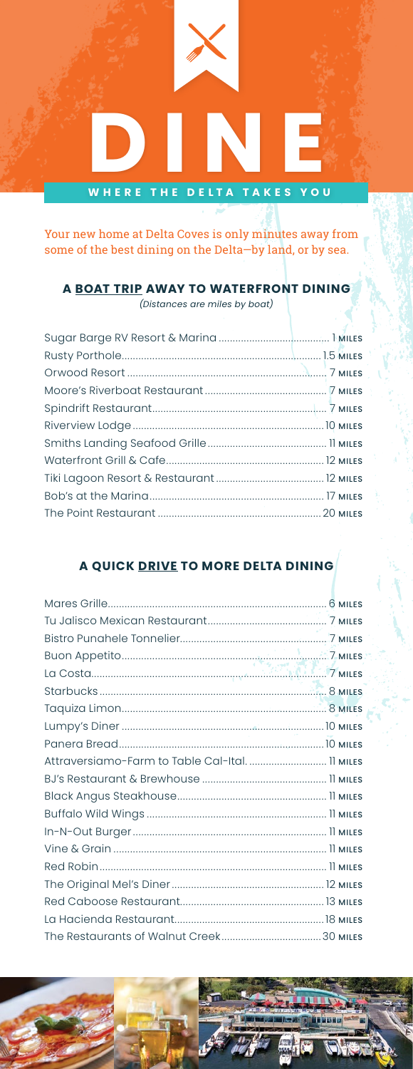

Your new home at Delta Coves is only minutes away from some of the best dining on the Delta—by land, or by sea.

## **A BOAT TRIP AWAY TO WATERFRONT DINING**

*(Distances are miles by boat)*

## **A QUICK DRIVE TO MORE DELTA DINING**

| Attraversiamo-Farm to Table Cal-Ital 11 MILES |  |
|-----------------------------------------------|--|
|                                               |  |
|                                               |  |
|                                               |  |
|                                               |  |
|                                               |  |
|                                               |  |
|                                               |  |
|                                               |  |
|                                               |  |
|                                               |  |